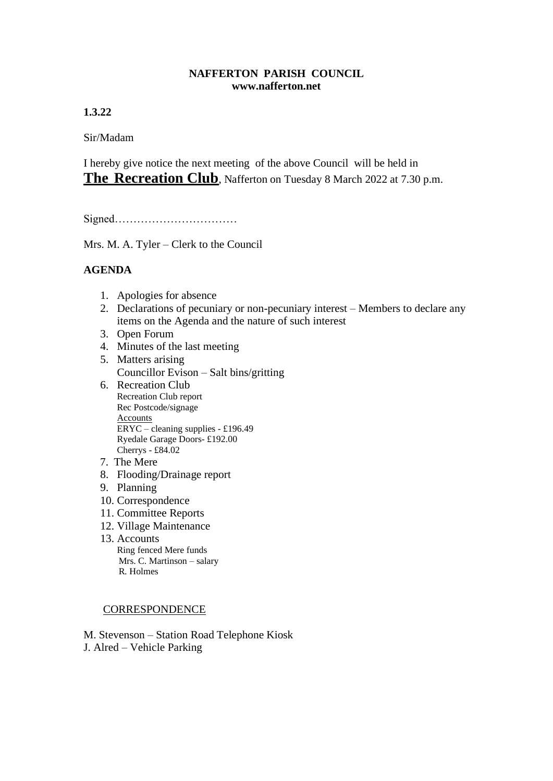## **NAFFERTON PARISH COUNCIL www.nafferton.net**

**1.3.22**

Sir/Madam

I hereby give notice the next meeting of the above Council will be held in **The Recreation Club**, Nafferton on Tuesday 8 March 2022 at 7.30 p.m.

Signed……………………………

Mrs. M. A. Tyler – Clerk to the Council

## **AGENDA**

- 1. Apologies for absence
- 2. Declarations of pecuniary or non-pecuniary interest Members to declare any items on the Agenda and the nature of such interest
- 3. Open Forum
- 4. Minutes of the last meeting
- 5. Matters arising Councillor Evison – Salt bins/gritting
- 6. Recreation Club Recreation Club report Rec Postcode/signage **Accounts** ERYC – cleaning supplies - £196.49 Ryedale Garage Doors- £192.00 Cherrys - £84.02
- 7. The Mere
- 8. Flooding/Drainage report
- 9. Planning
- 10. Correspondence
- 11. Committee Reports
- 12. Village Maintenance
- 13. Accounts Ring fenced Mere funds Mrs. C. Martinson – salary R. Holmes

## **CORRESPONDENCE**

M. Stevenson – Station Road Telephone Kiosk J. Alred – Vehicle Parking